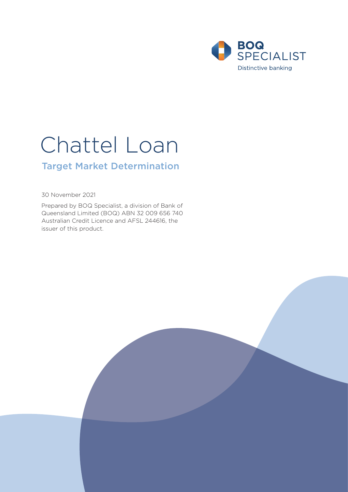

# Chattel Loan

# Target Market Determination

30 November 2021

Prepared by BOQ Specialist, a division of Bank of Queensland Limited (BOQ) ABN 32 009 656 740 Australian Credit Licence and AFSL 244616, the issuer of this product.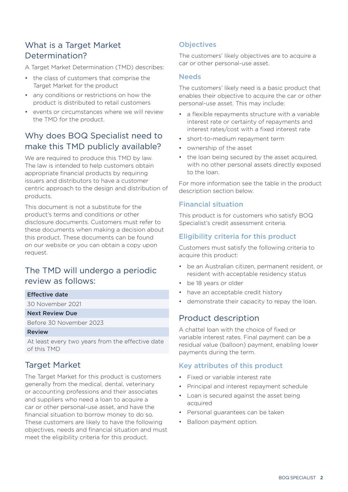# What is a Target Market Determination?

A Target Market Determination (TMD) describes:

- the class of customers that comprise the Target Market for the product
- any conditions or restrictions on how the product is distributed to retail customers
- events or circumstances where we will review the TMD for the product.

# Why does BOQ Specialist need to make this TMD publicly available?

We are required to produce this TMD by law. The law is intended to help customers obtain appropriate financial products by requiring issuers and distributors to have a customer centric approach to the design and distribution of products.

This document is not a substitute for the product's terms and conditions or other disclosure documents. Customers must refer to these documents when making a decision about this product. These documents can be found on our website or you can obtain a copy upon request.

# The TMD will undergo a periodic review as follows:

#### Effective date

30 November 2021

#### Next Review Due

Before 30 November 2023

#### Review

At least every two years from the effective date of this TMD

## Target Market

The Target Market for this product is customers generally from the medical, dental, veterinary or accounting professions and their associates and suppliers who need a loan to acquire a car or other personal-use asset, and have the financial situation to borrow money to do so. These customers are likely to have the following objectives, needs and financial situation and must meet the eligibility criteria for this product.

## **Objectives**

The customers' likely objectives are to acquire a car or other personal-use asset.

#### **Needs**

The customers' likely need is a basic product that enables their objective to acquire the car or other personal-use asset. This may include:

- a flexible repayments structure with a variable interest rate or certainty of repayments and interest rates/cost with a fixed interest rate
- short-to-medium repayment term
- ownership of the asset
- the loan being secured by the asset acquired. with no other personal assets directly exposed to the loan.

For more information see the table in the product description section below.

#### Financial situation

This product is for customers who satisfy BOQ Specialist's credit assessment criteria.

### Eligibility criteria for this product

Customers must satisfy the following criteria to acquire this product:

- be an Australian citizen, permanent resident, or resident with acceptable residency status
- be 18 years or older
- have an acceptable credit history
- demonstrate their capacity to repay the loan.

## Product description

A chattel loan with the choice of fixed or variable interest rates. Final payment can be a residual value (balloon) payment, enabling lower payments during the term.

#### Key attributes of this product

- Fixed or variable interest rate
- Principal and interest repayment schedule
- Loan is secured against the asset being acquired
- Personal guarantees can be taken
- Balloon payment option.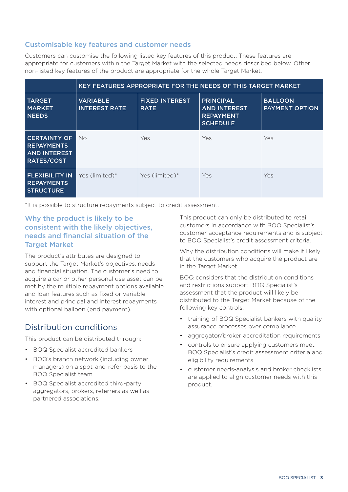## Customisable key features and customer needs

Customers can customise the following listed key features of this product. These features are appropriate for customers within the Target Market with the selected needs described below. Other non-listed key features of the product are appropriate for the whole Target Market.

|                                                                                      | KEY FEATURES APPROPRIATE FOR THE NEEDS OF THIS TARGET MARKET |                                      |                                                                                |                                         |
|--------------------------------------------------------------------------------------|--------------------------------------------------------------|--------------------------------------|--------------------------------------------------------------------------------|-----------------------------------------|
| <b>TARGET</b><br><b>MARKET</b><br><b>NEEDS</b>                                       | <b>VARIABLE</b><br><b>INTEREST RATE</b>                      | <b>FIXED INTEREST</b><br><b>RATE</b> | <b>PRINCIPAL</b><br><b>AND INTEREST</b><br><b>REPAYMENT</b><br><b>SCHEDULE</b> | <b>BALLOON</b><br><b>PAYMENT OPTION</b> |
| <b>CERTAINTY OF</b><br><b>REPAYMENTS</b><br><b>AND INTEREST</b><br><b>RATES/COST</b> | No                                                           | Yes                                  | Yes.                                                                           | Yes                                     |
| <b>FLEXIBILITY IN</b><br><b>REPAYMENTS</b><br><b>STRUCTURE</b>                       | Yes (limited)*                                               | Yes (limited)*                       | Yes                                                                            | Yes                                     |

\*It is possible to structure repayments subject to credit assessment.

## Why the product is likely to be consistent with the likely objectives, needs and financial situation of the **Target Market**

The product's attributes are designed to support the Target Market's objectives, needs and financial situation. The customer's need to acquire a car or other personal use asset can be met by the multiple repayment options available and loan features such as fixed or variable interest and principal and interest repayments with optional balloon (end payment).

## Distribution conditions

This product can be distributed through:

- BOQ Specialist accredited bankers
- BOQ's branch network (including owner managers) on a spot-and-refer basis to the BOQ Specialist team
- BOQ Specialist accredited third-party aggregators, brokers, referrers as well as partnered associations.

This product can only be distributed to retail customers in accordance with BOQ Specialist's customer acceptance requirements and is subject to BOQ Specialist's credit assessment criteria.

Why the distribution conditions will make it likely that the customers who acquire the product are in the Target Market

BOQ considers that the distribution conditions and restrictions support BOQ Specialist's assessment that the product will likely be distributed to the Target Market because of the following key controls:

- training of BOQ Specialist bankers with quality assurance processes over compliance
- aggregator/broker accreditation requirements
- controls to ensure applying customers meet BOQ Specialist's credit assessment criteria and eligibility requirements
- customer needs-analysis and broker checklists are applied to align customer needs with this product.